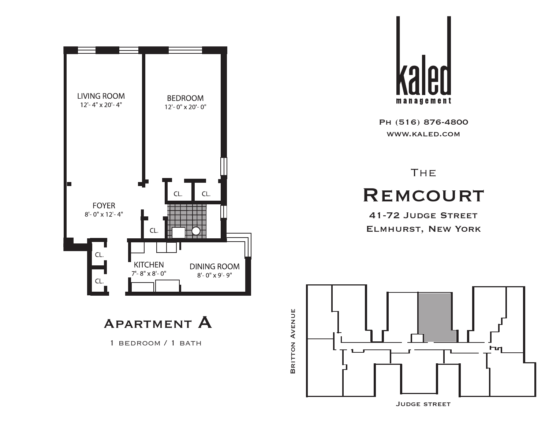

APARTMENT A

1 bedroom / 1 bath

management

Ph (516) 876-4800 www.kaled.com

**THE REMCOURT** 

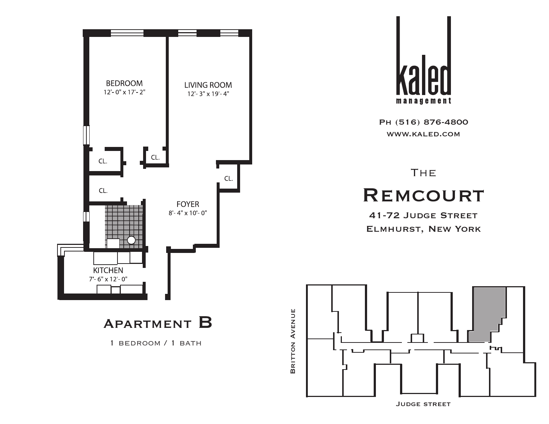



1 bedroom / 1 bath



Ph (516) 876-4800 www.kaled.com

## **THE REMCOURT**

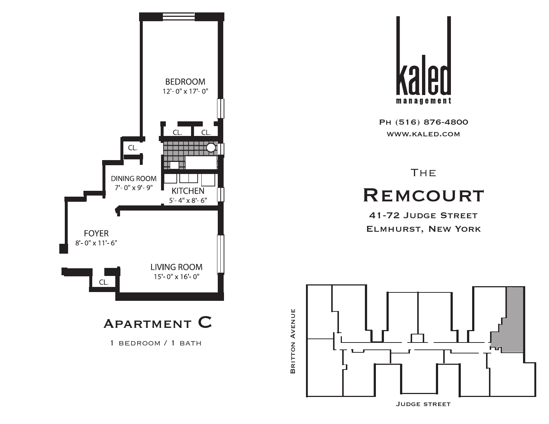



**THE REMCOURT** 

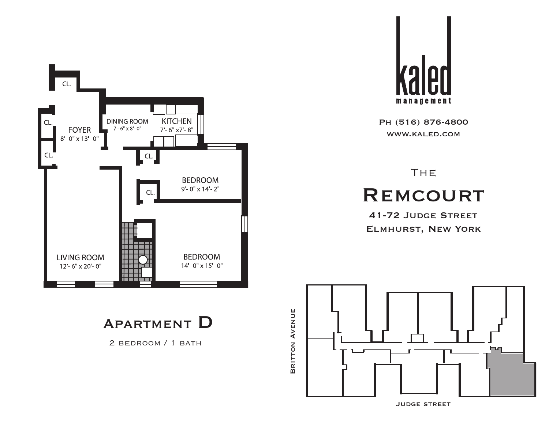

Apartment D

2 BEDROOM / 1 BATH



Ph (516) 876-4800 www.kaled.com

# **THE REMCOURT**

41-72 Judge Street Elmhurst, New York



Judge street

BRITTON AVENUE Britton Avenue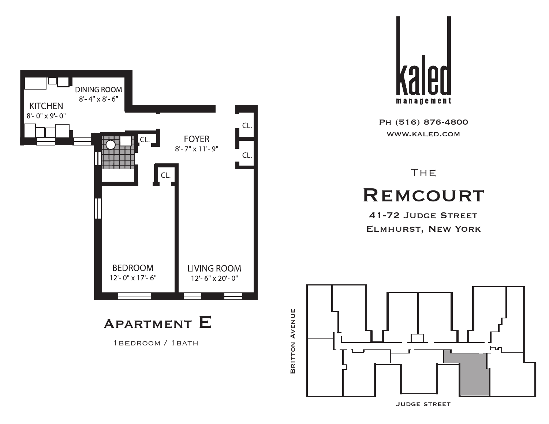



# **THE REMCOURT**

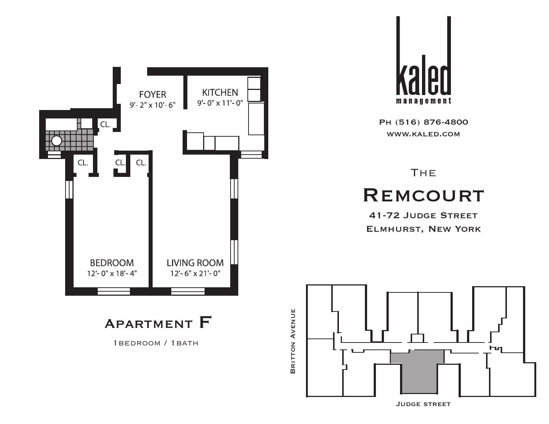



1bedroom / 1bath



Ph (516) 876-4800 www.kaled.com

# **THE REMCOURT**

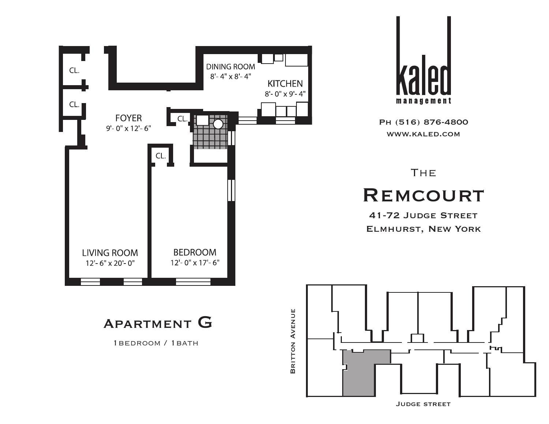



# **THE REMCOURT**

41-72 Judge Street Elmhurst, New York





1bedroom / 1bath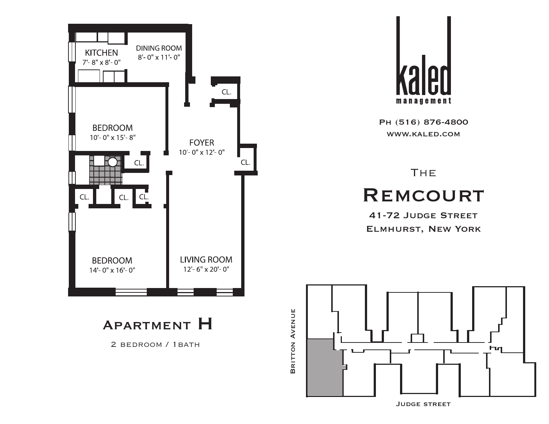



# **THE REMCOURT**

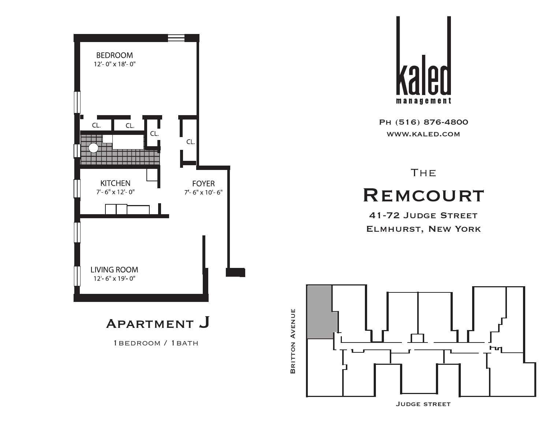



#### **THE REMCOURT**

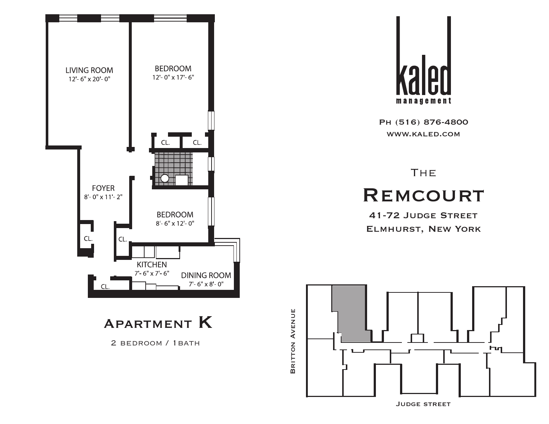

Apartment K

2 BEDROOM / 1BATH



Ph (516) 876-4800 www.kaled.com

**THE REMCOURT**